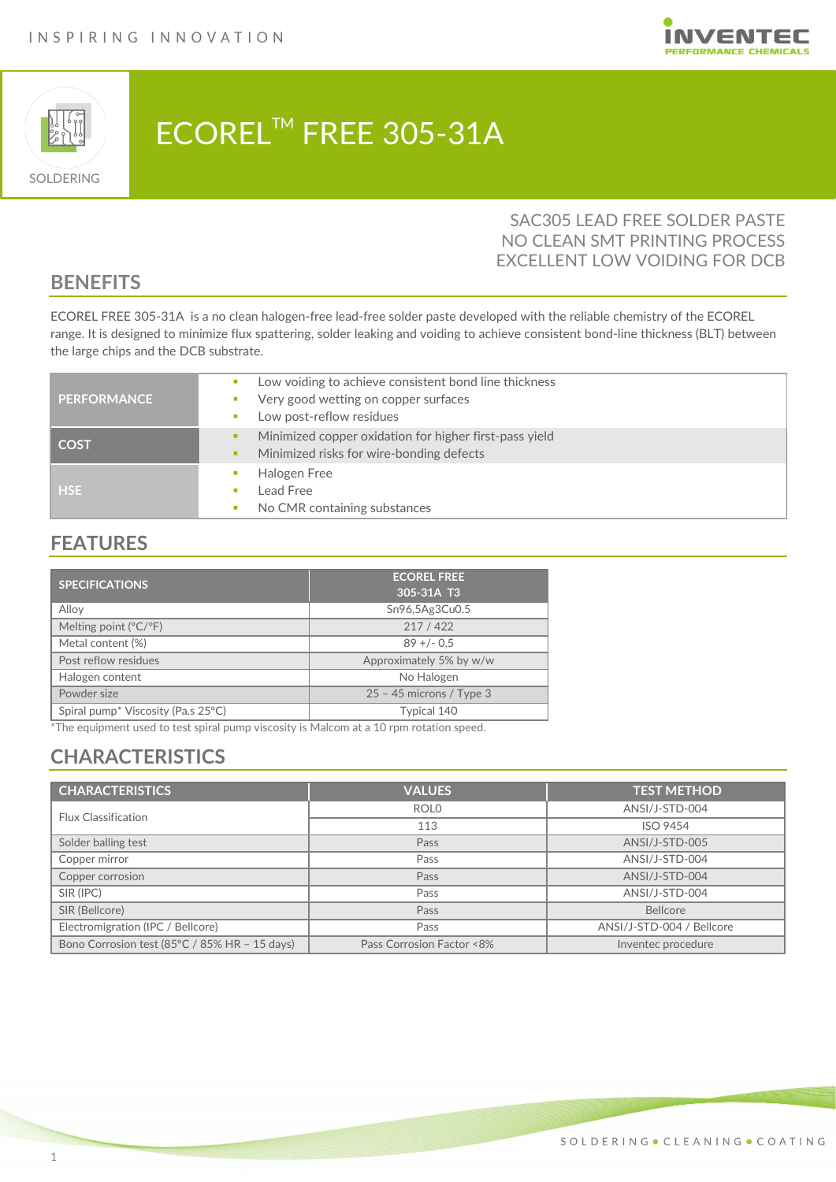



# ECOREL™ FREE 305-31A

### SAC305 LEAD FREE SOLDER PASTE NO CLEAN SMT PRINTING PROCESS EXCELLENT LOW VOIDING FOR DCB

### **BENEFITS**

ECOREL FREE 305-31A is a no clean halogen-free lead-free solder paste developed with the reliable chemistry of the ECOREL range. It is designed to minimize flux spattering, solder leaking and voiding to achieve consistent bond-line thickness (BLT) between the large chips and the DCB substrate.

| <b>I PERFORMANCE</b> | Low voiding to achieve consistent bond line thickness<br>Very good wetting on copper surfaces<br>Low post-reflow residues<br>$\mathcal{L}_{\mathcal{A}}$ |
|----------------------|----------------------------------------------------------------------------------------------------------------------------------------------------------|
| <b>COST</b>          | Minimized copper oxidation for higher first-pass yield<br>Minimized risks for wire-bonding defects                                                       |
| <b>HSE</b>           | Halogen Free<br>Lead Free<br>No CMR containing substances                                                                                                |

### **FEATURES**

| <b>SPECIFICATIONS</b>                          | <b>ECOREL FREE</b><br>305-31A T3 |
|------------------------------------------------|----------------------------------|
| Alloy                                          | Sn96,5Ag3Cu0.5                   |
| Melting point $(^{\circ}C/^{\circ}F)$          | 217/422                          |
| Metal content (%)                              | $89 + (-0.5)$                    |
| Post reflow residues                           | Approximately 5% by w/w          |
| Halogen content                                | No Halogen                       |
| Powder size                                    | $25 - 45$ microns / Type 3       |
| Spiral pump <sup>*</sup> Viscosity (Pa.s 25°C) | Typical 140                      |

\*The equipment used to test spiral pump viscosity is Malcom at a 10 rpm rotation speed.

# **CHARACTERISTICS**

| <b>CHARACTERISTICS</b>                        | <b>VALUES</b>             | <b>TEST METHOD</b>        |
|-----------------------------------------------|---------------------------|---------------------------|
| <b>Flux Classification</b>                    | <b>ROLO</b>               | ANSI/J-STD-004            |
|                                               | 113                       | <b>ISO 9454</b>           |
| Solder balling test                           | Pass                      | ANSI/J-STD-005            |
| Copper mirror                                 | Pass                      | ANSI/J-STD-004            |
| Copper corrosion                              | Pass                      | ANSI/J-STD-004            |
| SIR (IPC)                                     | Pass                      | ANSI/J-STD-004            |
| SIR (Bellcore)                                | Pass                      | <b>Bellcore</b>           |
| Electromigration (IPC / Bellcore)             | Pass                      | ANSI/J-STD-004 / Bellcore |
| Bono Corrosion test (85°C / 85% HR - 15 days) | Pass Corrosion Factor <8% | Inventec procedure        |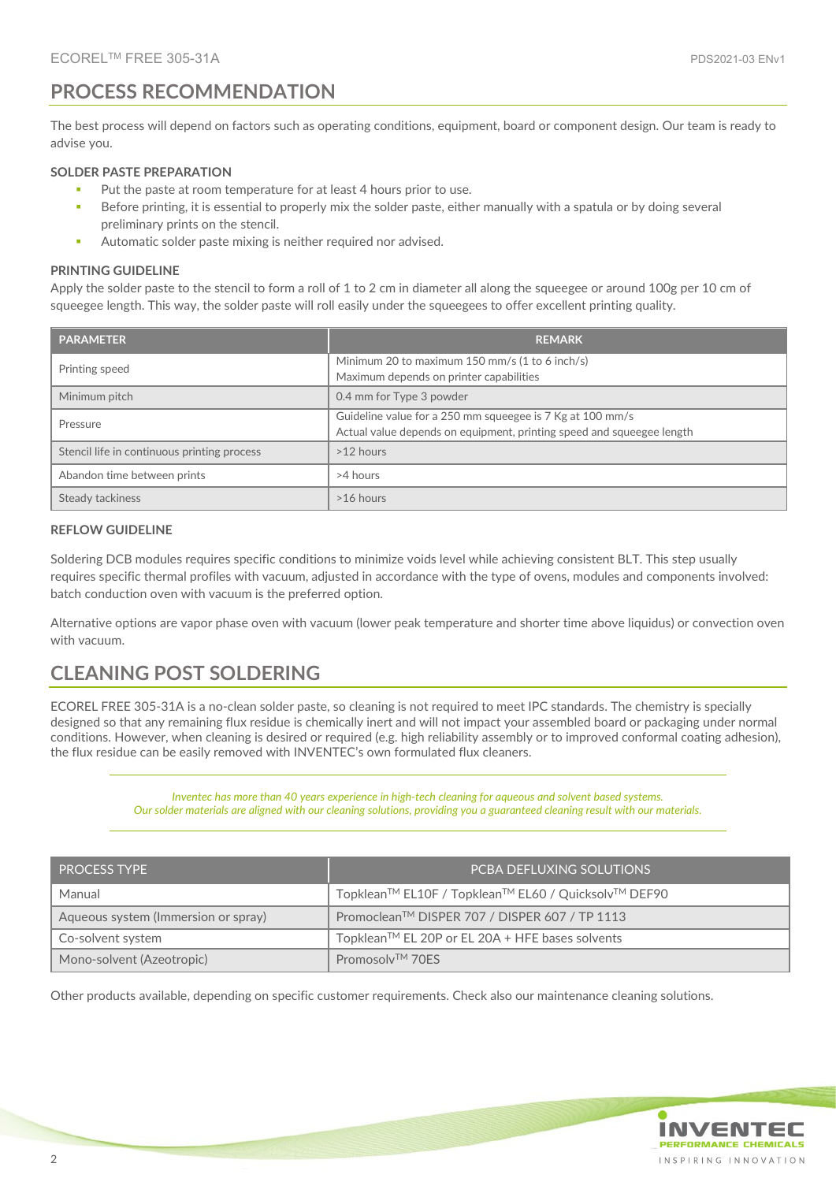### **PROCESS RECOMMENDATION**

The best process will depend on factors such as operating conditions, equipment, board or component design. Our team is ready to advise you.

#### **SOLDER PASTE PREPARATION**

- Put the paste at room temperature for at least 4 hours prior to use.
- Before printing, it is essential to properly mix the solder paste, either manually with a spatula or by doing several preliminary prints on the stencil.
- Automatic solder paste mixing is neither required nor advised.

#### **PRINTING GUIDELINE**

Apply the solder paste to the stencil to form a roll of 1 to 2 cm in diameter all along the squeegee or around 100g per 10 cm of squeegee length. This way, the solder paste will roll easily under the squeegees to offer excellent printing quality.

| <b>PARAMETER</b>                            | <b>REMARK</b>                                                                                                                      |
|---------------------------------------------|------------------------------------------------------------------------------------------------------------------------------------|
| Printing speed                              | Minimum 20 to maximum 150 mm/s (1 to 6 inch/s)<br>Maximum depends on printer capabilities                                          |
| Minimum pitch                               | 0.4 mm for Type 3 powder                                                                                                           |
| Pressure                                    | Guideline value for a 250 mm squeegee is 7 Kg at 100 mm/s<br>Actual value depends on equipment, printing speed and squeegee length |
| Stencil life in continuous printing process | $>12$ hours                                                                                                                        |
| Abandon time between prints                 | >4 hours                                                                                                                           |
| Steady tackiness                            | >16 hours                                                                                                                          |

#### **REFLOW GUIDELINE**

Soldering DCB modules requires specific conditions to minimize voids level while achieving consistent BLT. This step usually requires specific thermal profiles with vacuum, adjusted in accordance with the type of ovens, modules and components involved: batch conduction oven with vacuum is the preferred option.

Alternative options are vapor phase oven with vacuum (lower peak temperature and shorter time above liquidus) or convection oven with vacuum.

### **CLEANING POST SOLDERING**

ECOREL FREE 305-31A is a no-clean solder paste, so cleaning is not required to meet IPC standards. The chemistry is specially designed so that any remaining flux residue is chemically inert and will not impact your assembled board or packaging under normal conditions. However, when cleaning is desired or required (e.g. high reliability assembly or to improved conformal coating adhesion), the flux residue can be easily removed with INVENTEC's own formulated flux cleaners.

> *Inventec has more than 40 years experience in high-tech cleaning for aqueous and solvent based systems. Our solder materials are aligned with our cleaning solutions, providing you a guaranteed cleaning result with our materials.*

| <b>PROCESS TYPE</b>                 | <b>PCBA DEFLUXING SOLUTIONS</b>                     |
|-------------------------------------|-----------------------------------------------------|
| Manual                              | Topklean™ EL10F / Topklean™ EL60 / Quicksolv™ DEF90 |
| Aqueous system (Immersion or spray) | Promoclean™ DISPER 707 / DISPER 607 / TP 1113       |
| Co-solvent system                   | Topklean™ EL 20P or EL 20A + HFE bases solvents     |
| Mono-solvent (Azeotropic)           | Promosolv <sup>TM</sup> 70FS                        |

Other products available, depending on specific customer requirements. Check also our maintenance cleaning solutions.

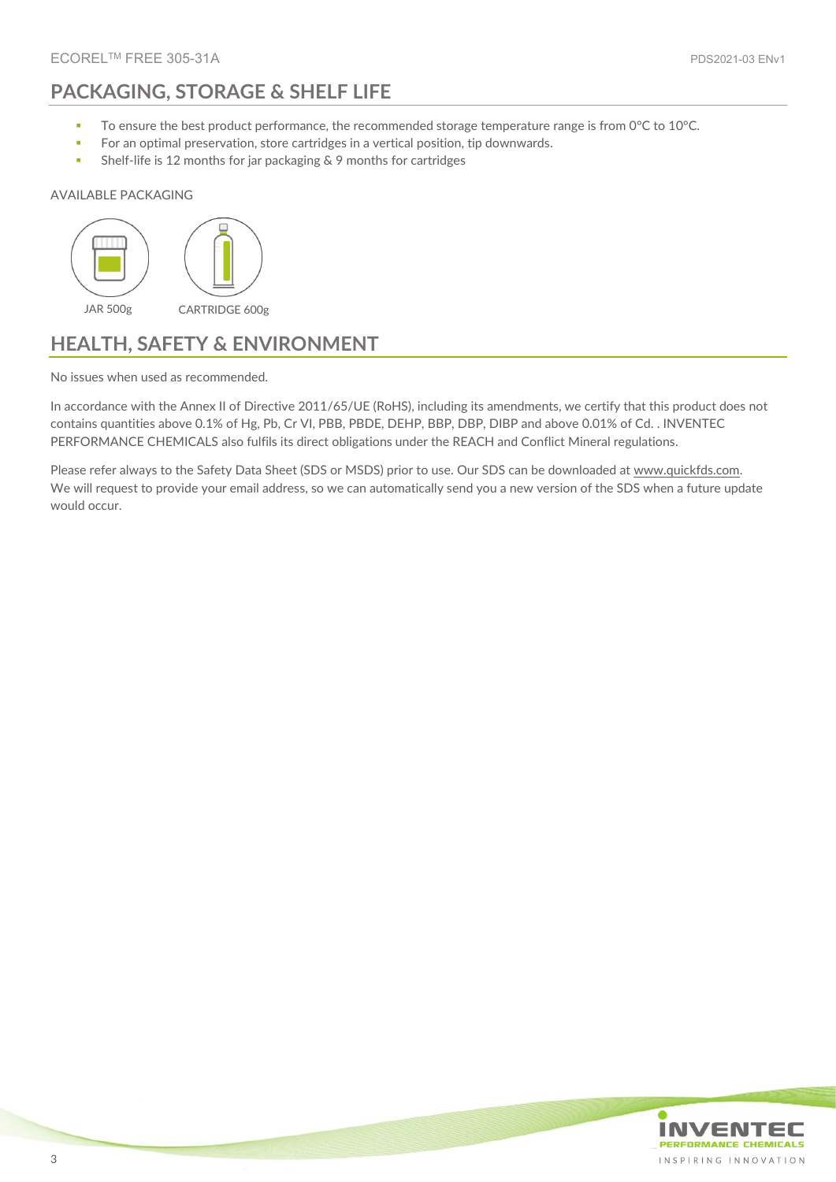# **PACKAGING, STORAGE & SHELF LIFE**

- To ensure the best product performance, the recommended storage temperature range is from 0°C to 10°C.
- **For an optimal preservation, store cartridges in a vertical position, tip downwards.**
- **Shelf-life is 12 months for jar packaging & 9 months for cartridges**

#### AVAILABLE PACKAGING



### **HEALTH, SAFETY & ENVIRONMENT**

No issues when used as recommended.

In accordance with the Annex II of Directive 2011/65/UE (RoHS), including its amendments, we certify that this product does not contains quantities above 0.1% of Hg, Pb, Cr VI, PBB, PBDE, DEHP, BBP, DBP, DIBP and above 0.01% of Cd. . INVENTEC PERFORMANCE CHEMICALS also fulfils its direct obligations under the REACH and Conflict Mineral regulations.

Please refer always to the Safety Data Sheet (SDS or MSDS) prior to use. Our SDS can be downloaded a[t www.quickfds.com.](https://www.inventec.dehon.com/en/p/material-safety-data-sheet/16.html) We will request to provide your email address, so we can automatically send you a new version of the SDS when a future update would occur.